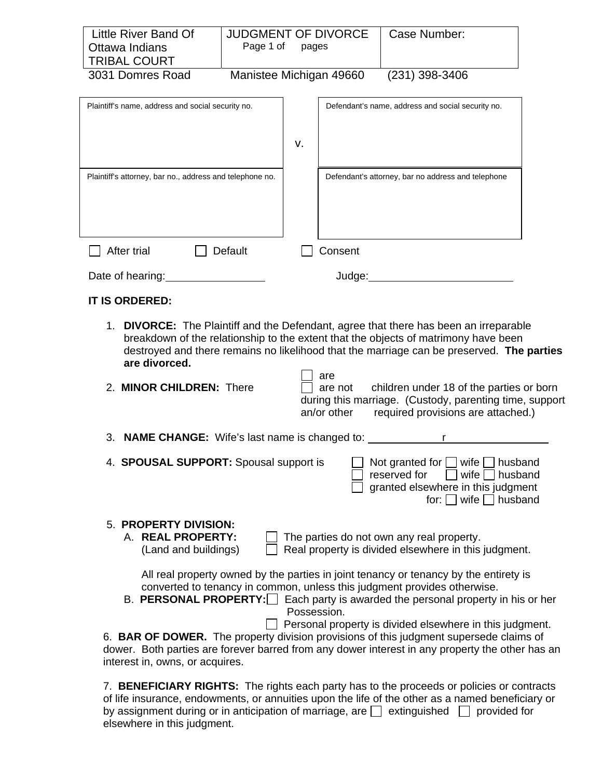| Little River Band Of<br>Ottawa Indians<br><b>TRIBAL COURT</b>                                                                                                                                                                                                                                     | <b>JUDGMENT OF DIVORCE</b><br>Page 1 of | pages |         | Case Number:                                                                                                                                                                                                                                          |
|---------------------------------------------------------------------------------------------------------------------------------------------------------------------------------------------------------------------------------------------------------------------------------------------------|-----------------------------------------|-------|---------|-------------------------------------------------------------------------------------------------------------------------------------------------------------------------------------------------------------------------------------------------------|
| 3031 Domres Road                                                                                                                                                                                                                                                                                  | Manistee Michigan 49660                 |       |         | (231) 398-3406                                                                                                                                                                                                                                        |
| Plaintiff's name, address and social security no.                                                                                                                                                                                                                                                 |                                         |       |         | Defendant's name, address and social security no.                                                                                                                                                                                                     |
|                                                                                                                                                                                                                                                                                                   |                                         | v.    |         |                                                                                                                                                                                                                                                       |
| Plaintiff's attorney, bar no., address and telephone no.                                                                                                                                                                                                                                          |                                         |       |         | Defendant's attorney, bar no address and telephone                                                                                                                                                                                                    |
| After trial                                                                                                                                                                                                                                                                                       | Default                                 |       | Consent |                                                                                                                                                                                                                                                       |
| Date of hearing:                                                                                                                                                                                                                                                                                  |                                         |       |         |                                                                                                                                                                                                                                                       |
| <b>IT IS ORDERED:</b>                                                                                                                                                                                                                                                                             |                                         |       |         |                                                                                                                                                                                                                                                       |
| 1. DIVORCE: The Plaintiff and the Defendant, agree that there has been an irreparable<br>breakdown of the relationship to the extent that the objects of matrimony have been<br>destroyed and there remains no likelihood that the marriage can be preserved. The parties<br>are divorced.<br>are |                                         |       |         |                                                                                                                                                                                                                                                       |
| 2. MINOR CHILDREN: There<br>children under 18 of the parties or born<br>are not<br>during this marriage. (Custody, parenting time, support<br>an/or other<br>required provisions are attached.)                                                                                                   |                                         |       |         |                                                                                                                                                                                                                                                       |
| 3. NAME CHANGE: Wife's last name is changed to:                                                                                                                                                                                                                                                   |                                         |       |         |                                                                                                                                                                                                                                                       |
| Not granted for<br>4. SPOUSAL SUPPORT: Spousal support is<br>husband<br>wife<br>reserved for<br>wife<br>husband<br>granted elsewhere in this judgment<br>for: $\Box$ wife $\Box$<br>husband                                                                                                       |                                         |       |         |                                                                                                                                                                                                                                                       |
| 5. PROPERTY DIVISION:<br>A. REAL PROPERTY:<br>(Land and buildings)                                                                                                                                                                                                                                |                                         |       |         | The parties do not own any real property.<br>Real property is divided elsewhere in this judgment.                                                                                                                                                     |
| All real property owned by the parties in joint tenancy or tenancy by the entirety is<br>converted to tenancy in common, unless this judgment provides otherwise.<br>B. PERSONAL PROPERTY: $\Box$ Each party is awarded the personal property in his or her<br>Possession.                        |                                         |       |         |                                                                                                                                                                                                                                                       |
| interest in, owns, or acquires.                                                                                                                                                                                                                                                                   |                                         |       |         | Personal property is divided elsewhere in this judgment.<br>6. BAR OF DOWER. The property division provisions of this judgment supersede claims of<br>dower. Both parties are forever barred from any dower interest in any property the other has an |

7. **BENEFICIARY RIGHTS:** The rights each party has to the proceeds or policies or contracts of life insurance, endowments, or annuities upon the life of the other as a named beneficiary or by assignment during or in anticipation of marriage, are  $\Box$  extinguished  $\Box$  provided for elsewhere in this judgment.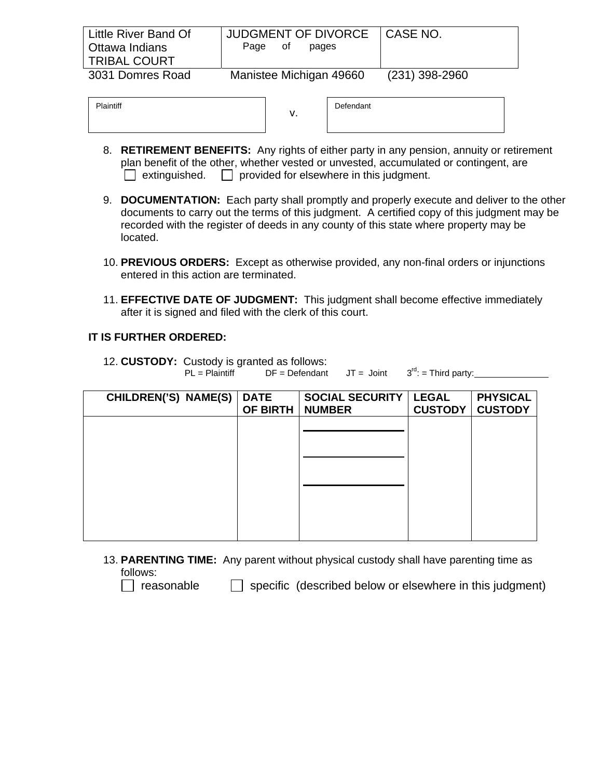| Little River Band Of<br>Ottawa Indians<br><b>TRIBAL COURT</b> | JUDGMENT OF DIVORCE<br>of<br>pages<br>Page | I CASE NO.       |
|---------------------------------------------------------------|--------------------------------------------|------------------|
| 3031 Domres Road                                              | Manistee Michigan 49660                    | $(231)$ 398-2960 |

| aintiff | ν. | Defendant |
|---------|----|-----------|
|         |    |           |

- 8. **RETIREMENT BENEFITS:** Any rights of either party in any pension, annuity or retirement plan benefit of the other, whether vested or unvested, accumulated or contingent, are  $\Box$  extinguished.  $\Box$  provided for elsewhere in this judgment.
- 9. **DOCUMENTATION:** Each party shall promptly and properly execute and deliver to the other documents to carry out the terms of this judgment. A certified copy of this judgment may be recorded with the register of deeds in any county of this state where property may be located.
- 10. **PREVIOUS ORDERS:** Except as otherwise provided, any non-final orders or injunctions entered in this action are terminated.
- 11. **EFFECTIVE DATE OF JUDGMENT:** This judgment shall become effective immediately after it is signed and filed with the clerk of this court.

Plaintiff

12. **CUSTODY:** Custody is granted as follows:<br>PL = Plaintiff DF = Defendant JT = Joint 3<sup>rd</sup>: = Third party:

| CHILDREN('S) NAME(S) | <b>DATE</b><br>OF BIRTH | <b>SOCIAL SECURITY</b><br><b>NUMBER</b> | <b>LEGAL</b><br><b>CUSTODY</b> | <b>PHYSICAL</b><br><b>CUSTODY</b> |
|----------------------|-------------------------|-----------------------------------------|--------------------------------|-----------------------------------|
|                      |                         |                                         |                                |                                   |
|                      |                         |                                         |                                |                                   |
|                      |                         |                                         |                                |                                   |
|                      |                         |                                         |                                |                                   |
|                      |                         |                                         |                                |                                   |

13. **PARENTING TIME:** Any parent without physical custody shall have parenting time as follows:

 $\Box$  reasonable  $\Box$  specific (described below or elsewhere in this judgment)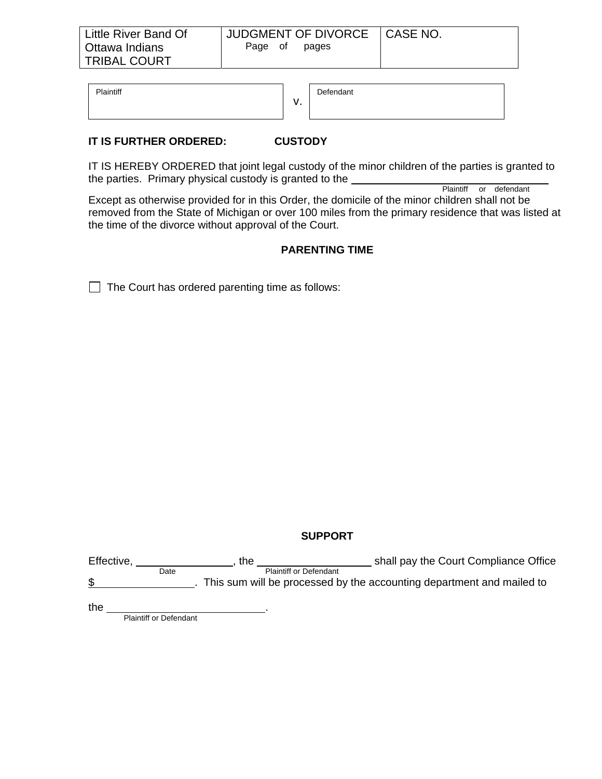$\mathbf{v}$ . Plaintiff Defendant

### **IT IS FURTHER ORDERED: CUSTODY**

IT IS HEREBY ORDERED that joint legal custody of the minor children of the parties is granted to the parties. Primary physical custody is granted to the Plaintiff or defendant

Except as otherwise provided for in this Order, the domicile of the minor children shall not be removed from the State of Michigan or over 100 miles from the primary residence that was listed at the time of the divorce without approval of the Court.

#### **PARENTING TIME**

 $\Box$  The Court has ordered parenting time as follows:

#### **SUPPORT**

| Effective, |      | the | shall pay the Court Compliance Office                                 |
|------------|------|-----|-----------------------------------------------------------------------|
|            | Date |     | <b>Plaintiff or Defendant</b>                                         |
| \$         |      |     | This sum will be processed by the accounting department and mailed to |
|            |      |     |                                                                       |

the **Exercise 2** Plaintiff or Defendant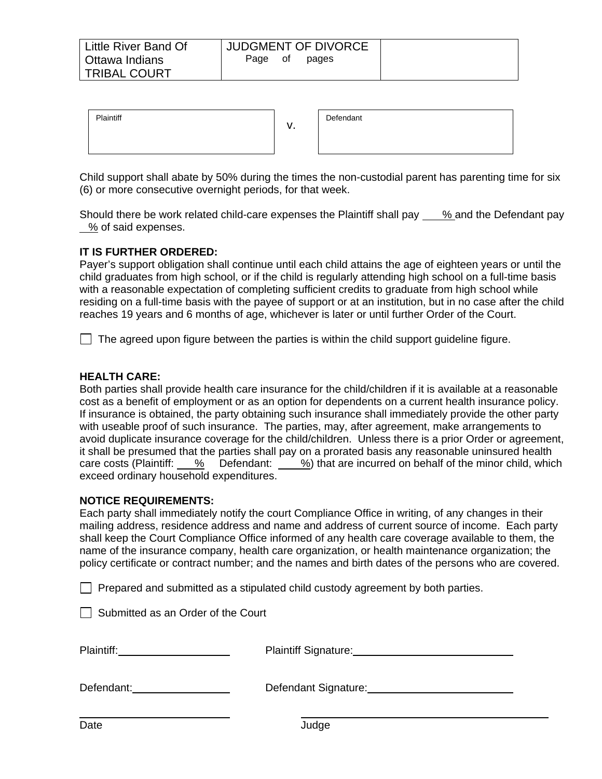| Plaintiff |  |
|-----------|--|
|           |  |

| Defendant |  |  |
|-----------|--|--|
|           |  |  |
|           |  |  |
|           |  |  |

Child support shall abate by 50% during the times the non-custodial parent has parenting time for six (6) or more consecutive overnight periods, for that week.

Should there be work related child-care expenses the Plaintiff shall pay  $\frac{9}{2}$  and the Defendant pay % of said expenses.

## **IT IS FURTHER ORDERED:**

Payer's support obligation shall continue until each child attains the age of eighteen years or until the child graduates from high school, or if the child is regularly attending high school on a full-time basis with a reasonable expectation of completing sufficient credits to graduate from high school while residing on a full-time basis with the payee of support or at an institution, but in no case after the child reaches 19 years and 6 months of age, whichever is later or until further Order of the Court.

 $\Box$  The agreed upon figure between the parties is within the child support guideline figure.

#### **HEALTH CARE:**

Both parties shall provide health care insurance for the child/children if it is available at a reasonable cost as a benefit of employment or as an option for dependents on a current health insurance policy. If insurance is obtained, the party obtaining such insurance shall immediately provide the other party with useable proof of such insurance. The parties, may, after agreement, make arrangements to avoid duplicate insurance coverage for the child/children. Unless there is a prior Order or agreement, it shall be presumed that the parties shall pay on a prorated basis any reasonable uninsured health care costs (Plaintiff: % Defendant: %) that are incurred on behalf of the minor child, which exceed ordinary household expenditures.

#### **NOTICE REQUIREMENTS:**

Each party shall immediately notify the court Compliance Office in writing, of any changes in their mailing address, residence address and name and address of current source of income. Each party shall keep the Court Compliance Office informed of any health care coverage available to them, the name of the insurance company, health care organization, or health maintenance organization; the policy certificate or contract number; and the names and birth dates of the persons who are covered.

 $\Box$  Prepared and submitted as a stipulated child custody agreement by both parties.

| Submitted as an Order of the Court |  |  |  |
|------------------------------------|--|--|--|
|------------------------------------|--|--|--|

| Plaintiff: |  |
|------------|--|
|            |  |

Plaintiff Signature: **Plaintiff** Signature:

| Defendant: |  |
|------------|--|
|            |  |

Defendant Signature: Defendant Signature:

 $\overline{a}$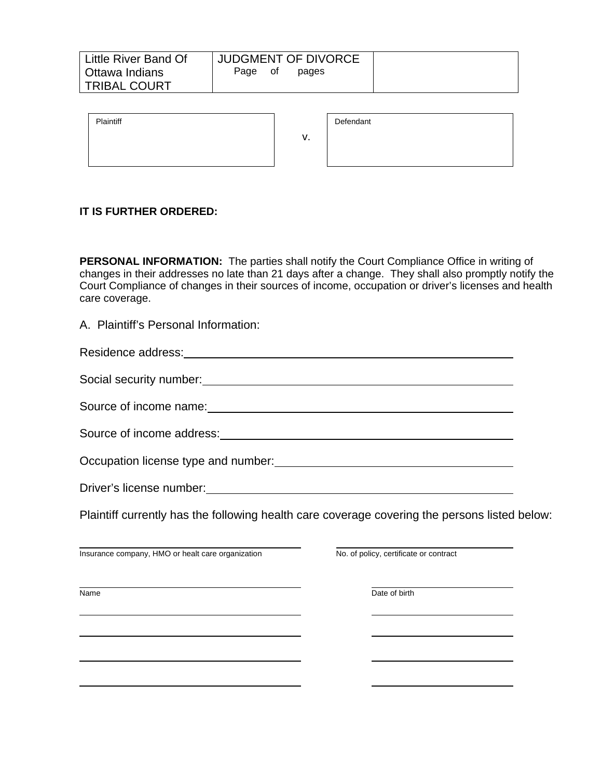| Page of<br>pages | <b>JUDGMENT OF DIVORCE</b> | Little River Band Of |
|------------------|----------------------------|----------------------|
|                  |                            | Ottawa Indians       |
|                  |                            | <b>TRIBAL COURT</b>  |

| Plaintiff |    | Defendant |
|-----------|----|-----------|
|           | ν. |           |
|           |    |           |
|           |    |           |

**PERSONAL INFORMATION:** The parties shall notify the Court Compliance Office in writing of changes in their addresses no late than 21 days after a change. They shall also promptly notify the Court Compliance of changes in their sources of income, occupation or driver's licenses and health care coverage.

A. Plaintiff's Personal Information:

# Residence address:

Social security number:

Source of income name:  $\frac{1}{2}$  and  $\frac{1}{2}$  and  $\frac{1}{2}$  and  $\frac{1}{2}$  and  $\frac{1}{2}$  and  $\frac{1}{2}$  and  $\frac{1}{2}$  and  $\frac{1}{2}$  and  $\frac{1}{2}$  and  $\frac{1}{2}$  and  $\frac{1}{2}$  and  $\frac{1}{2}$  and  $\frac{1}{2}$  and  $\frac{1}{2}$  and  $\frac$ 

Source of income address: <u>contained a manual contract of income</u>

Occupation license type and number:<br>
<u>Cocupation license</u>

Driver's license number: <u>with the set of the set of the set of the set of the set of the set of the set of the set of the set of the set of the set of the set of the set of the set of the set of the set of the set of the </u>

Plaintiff currently has the following health care coverage covering the persons listed below:

Insurance company, HMO or healt care organization No. of policy, certificate or contract

Name **Date of birth**  $\overline{D}$  Date of birth

l

 $\overline{a}$ 

 $\overline{a}$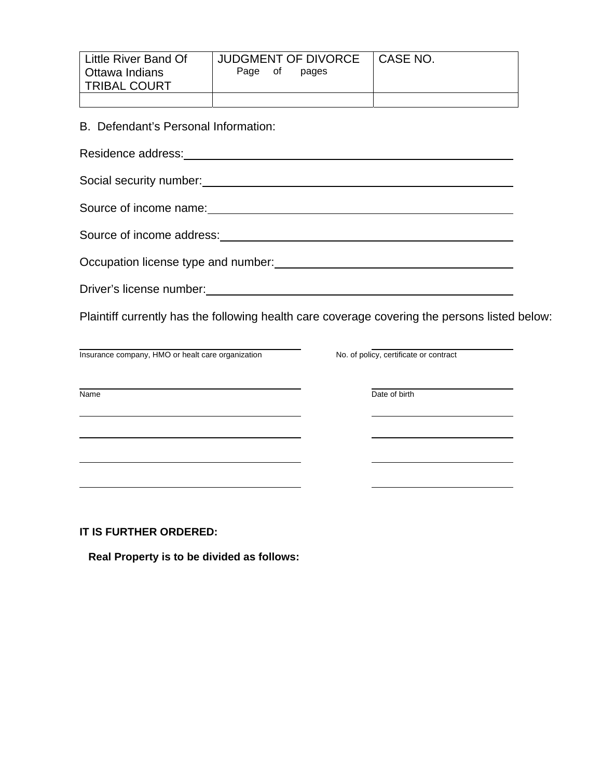| Little River Band Of | JUDGMENT OF DIVORCE | I CASE NO. |
|----------------------|---------------------|------------|
| Ottawa Indians       | Page<br>of<br>pages |            |
| <b>TRIBAL COURT</b>  |                     |            |
|                      |                     |            |

B. Defendant's Personal Information:

Residence address: Management and the extent of the state of the state of the state of the state of the state of the state of the state of the state of the state of the state of the state of the state of the state of the s

Social security number: Manual Contract of the Social security number:

Source of income name:  $\frac{1}{2}$  and  $\frac{1}{2}$  and  $\frac{1}{2}$  and  $\frac{1}{2}$  and  $\frac{1}{2}$  and  $\frac{1}{2}$  and  $\frac{1}{2}$  and  $\frac{1}{2}$  and  $\frac{1}{2}$  and  $\frac{1}{2}$  and  $\frac{1}{2}$  and  $\frac{1}{2}$  and  $\frac{1}{2}$  and  $\frac{1}{2}$  and  $\frac$ 

Source of income address: **Source of income address:** 

Occupation license type and number:<br>
<u>Decupation license</u> type and number:

Driver's license number:<br>
University of the state of the state of the state of the state of the state of the state of the state of the state of the state of the state of the state of the state of the state of the state of

Plaintiff currently has the following health care coverage covering the persons listed below:

Insurance company, HMO or healt care organization No. of policy, certificate or contract

 $\overline{a}$ 

 $\overline{a}$ 

 $\overline{a}$ 

Name **Date of birth**  $\overline{\phantom{a}}$  Date of birth

**IT IS FURTHER ORDERED:** 

 **Real Property is to be divided as follows:**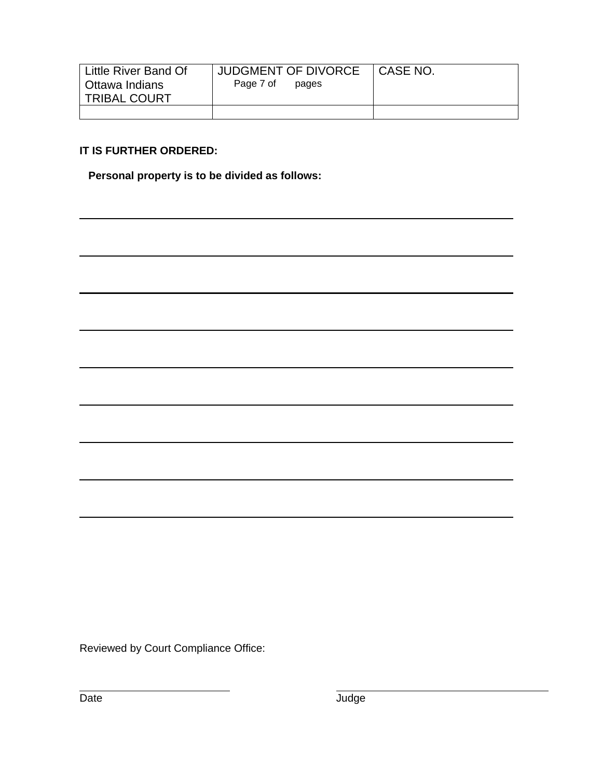| Little River Band Of<br>Ottawa Indians<br><b>TRIBAL COURT</b> | <b>JUDGMENT OF DIVORCE</b><br>Page 7 of<br>pages | I CASE NO. |
|---------------------------------------------------------------|--------------------------------------------------|------------|
|                                                               |                                                  |            |

 **Personal property is to be divided as follows:** 

Reviewed by Court Compliance Office:

 $\overline{a}$